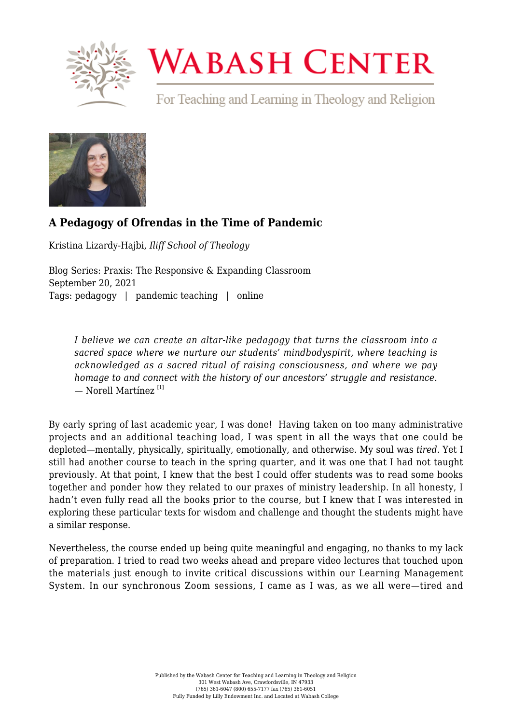

## **WABASH CENTER**

For Teaching and Learning in Theology and Religion



## **[A Pedagogy of Ofrendas in the Time of Pandemic](https://www.wabashcenter.wabash.edu/2021/09/a-pedagogy-of-ofrendas-in-the-time-of-pandemic/)**

Kristina Lizardy-Hajbi, *Iliff School of Theology*

Blog Series: Praxis: The Responsive & Expanding Classroom September 20, 2021 Tags: pedagogy | pandemic teaching | online

*I believe we can create an altar-like pedagogy that turns the classroom into a sacred space where we nurture our students' mindbodyspirit, where teaching is acknowledged as a sacred ritual of raising consciousness, and where we pay homage to and connect with the history of our ancestors' struggle and resistance.*  $-$  Norell Martínez<sup>[\[1\]](#page-2-0)</sup>

<span id="page-0-0"></span>By early spring of last academic year, I was done! Having taken on too many administrative projects and an additional teaching load, I was spent in all the ways that one could be depleted—mentally, physically, spiritually, emotionally, and otherwise. My soul was *tired*. Yet I still had another course to teach in the spring quarter, and it was one that I had not taught previously. At that point, I knew that the best I could offer students was to read some books together and ponder how they related to our praxes of ministry leadership. In all honesty, I hadn't even fully read all the books prior to the course, but I knew that I was interested in exploring these particular texts for wisdom and challenge and thought the students might have a similar response.

Nevertheless, the course ended up being quite meaningful and engaging, no thanks to my lack of preparation. I tried to read two weeks ahead and prepare video lectures that touched upon the materials just enough to invite critical discussions within our Learning Management System. In our synchronous Zoom sessions, I came as I was, as we all were—tired and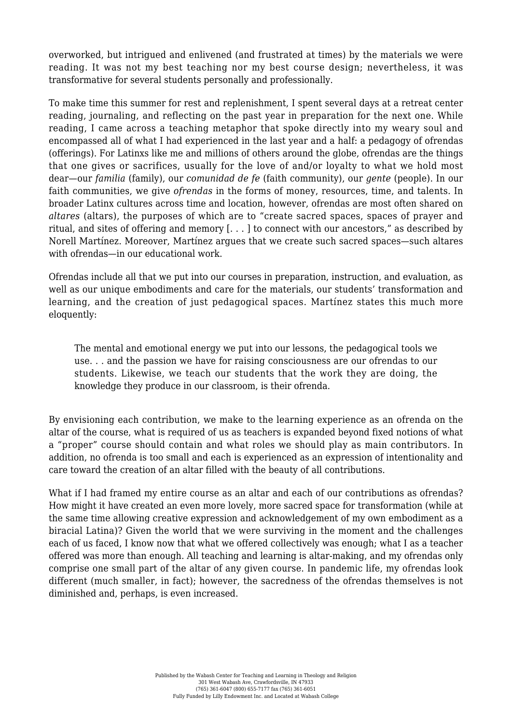overworked, but intrigued and enlivened (and frustrated at times) by the materials we were reading. It was not my best teaching nor my best course design; nevertheless, it was transformative for several students personally and professionally.

To make time this summer for rest and replenishment, I spent several days at a retreat center reading, journaling, and reflecting on the past year in preparation for the next one. While reading, I came across a teaching metaphor that spoke directly into my weary soul and encompassed all of what I had experienced in the last year and a half: a pedagogy of ofrendas (offerings). For Latinxs like me and millions of others around the globe, ofrendas are the things that one gives or sacrifices, usually for the love of and/or loyalty to what we hold most dear—our *familia* (family), our *comunidad de fe* (faith community), our *gente* (people). In our faith communities, we give *ofrendas* in the forms of money, resources, time, and talents. In broader Latinx cultures across time and location, however, ofrendas are most often shared on *altares* (altars), the purposes of which are to "create sacred spaces, spaces of prayer and ritual, and sites of offering and memory [. . . ] to connect with our ancestors," as described by Norell Martínez. Moreover, Martínez argues that we create such sacred spaces—such altares with ofrendas—in our educational work.

Ofrendas include all that we put into our courses in preparation, instruction, and evaluation, as well as our unique embodiments and care for the materials, our students' transformation and learning, and the creation of just pedagogical spaces. Martínez states this much more eloquently:

The mental and emotional energy we put into our lessons, the pedagogical tools we use. . . and the passion we have for raising consciousness are our ofrendas to our students. Likewise, we teach our students that the work they are doing, the knowledge they produce in our classroom, is their ofrenda.

By envisioning each contribution, we make to the learning experience as an ofrenda on the altar of the course, what is required of us as teachers is expanded beyond fixed notions of what a "proper" course should contain and what roles we should play as main contributors. In addition, no ofrenda is too small and each is experienced as an expression of intentionality and care toward the creation of an altar filled with the beauty of all contributions.

What if I had framed my entire course as an altar and each of our contributions as ofrendas? How might it have created an even more lovely, more sacred space for transformation (while at the same time allowing creative expression and acknowledgement of my own embodiment as a biracial Latina)? Given the world that we were surviving in the moment and the challenges each of us faced, I know now that what we offered collectively was enough; what I as a teacher offered was more than enough. All teaching and learning is altar-making, and my ofrendas only comprise one small part of the altar of any given course. In pandemic life, my ofrendas look different (much smaller, in fact); however, the sacredness of the ofrendas themselves is not diminished and, perhaps, is even increased.